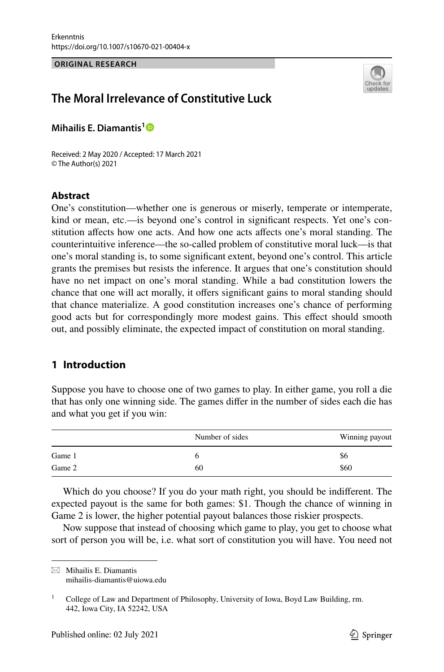#### **ORIGINAL RESEARCH**



# **The Moral Irrelevance of Constitutive Luck**

**Mihailis E. Diamantis[1](http://orcid.org/0000-0002-3398-7281)**

Received: 2 May 2020 / Accepted: 17 March 2021 © The Author(s) 2021

### **Abstract**

One's constitution—whether one is generous or miserly, temperate or intemperate, kind or mean, etc.—is beyond one's control in signifcant respects. Yet one's constitution afects how one acts. And how one acts afects one's moral standing. The counterintuitive inference—the so-called problem of constitutive moral luck—is that one's moral standing is, to some signifcant extent, beyond one's control. This article grants the premises but resists the inference. It argues that one's constitution should have no net impact on one's moral standing. While a bad constitution lowers the chance that one will act morally, it ofers signifcant gains to moral standing should that chance materialize. A good constitution increases one's chance of performing good acts but for correspondingly more modest gains. This efect should smooth out, and possibly eliminate, the expected impact of constitution on moral standing.

# **1 Introduction**

Suppose you have to choose one of two games to play. In either game, you roll a die that has only one winning side. The games difer in the number of sides each die has and what you get if you win:

|        | Number of sides | Winning payout |
|--------|-----------------|----------------|
| Game 1 |                 | S6             |
| Game 2 | 60              | \$60           |

Which do you choose? If you do your math right, you should be indiferent. The expected payout is the same for both games: \$1. Though the chance of winning in Game 2 is lower, the higher potential payout balances those riskier prospects.

Now suppose that instead of choosing which game to play, you get to choose what sort of person you will be, i.e. what sort of constitution you will have. You need not

 $\boxtimes$  Mihailis E. Diamantis mihailis-diamantis@uiowa.edu

<sup>&</sup>lt;sup>1</sup> College of Law and Department of Philosophy, University of Iowa, Boyd Law Building, rm. 442, Iowa City, IA 52242, USA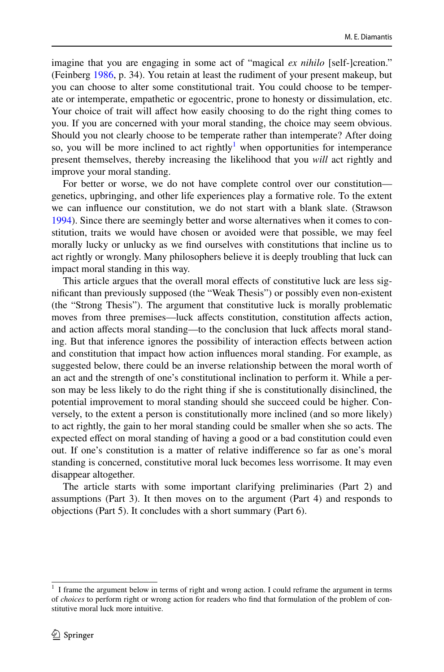imagine that you are engaging in some act of "magical *ex nihilo* [self-]creation." (Feinberg [1986](#page-14-0), p. 34). You retain at least the rudiment of your present makeup, but you can choose to alter some constitutional trait. You could choose to be temperate or intemperate, empathetic or egocentric, prone to honesty or dissimulation, etc. Your choice of trait will affect how easily choosing to do the right thing comes to you. If you are concerned with your moral standing, the choice may seem obvious. Should you not clearly choose to be temperate rather than intemperate? After doing so, you will be more inclined to act rightly<sup> $1$ </sup> when opportunities for intemperance present themselves, thereby increasing the likelihood that you *will* act rightly and improve your moral standing.

For better or worse, we do not have complete control over our constitution genetics, upbringing, and other life experiences play a formative role. To the extent we can infuence our constitution, we do not start with a blank slate. (Strawson [1994](#page-15-0)). Since there are seemingly better and worse alternatives when it comes to constitution, traits we would have chosen or avoided were that possible, we may feel morally lucky or unlucky as we fnd ourselves with constitutions that incline us to act rightly or wrongly. Many philosophers believe it is deeply troubling that luck can impact moral standing in this way.

This article argues that the overall moral efects of constitutive luck are less signifcant than previously supposed (the "Weak Thesis") or possibly even non-existent (the "Strong Thesis"). The argument that constitutive luck is morally problematic moves from three premises—luck afects constitution, constitution afects action, and action afects moral standing—to the conclusion that luck afects moral standing. But that inference ignores the possibility of interaction efects between action and constitution that impact how action infuences moral standing. For example, as suggested below, there could be an inverse relationship between the moral worth of an act and the strength of one's constitutional inclination to perform it. While a person may be less likely to do the right thing if she is constitutionally disinclined, the potential improvement to moral standing should she succeed could be higher. Conversely, to the extent a person is constitutionally more inclined (and so more likely) to act rightly, the gain to her moral standing could be smaller when she so acts. The expected efect on moral standing of having a good or a bad constitution could even out. If one's constitution is a matter of relative indiference so far as one's moral standing is concerned, constitutive moral luck becomes less worrisome. It may even disappear altogether.

The article starts with some important clarifying preliminaries (Part 2) and assumptions (Part 3). It then moves on to the argument (Part 4) and responds to objections (Part 5). It concludes with a short summary (Part 6).

<span id="page-1-0"></span><sup>&</sup>lt;sup>1</sup> I frame the argument below in terms of right and wrong action. I could reframe the argument in terms of *choices* to perform right or wrong action for readers who fnd that formulation of the problem of constitutive moral luck more intuitive.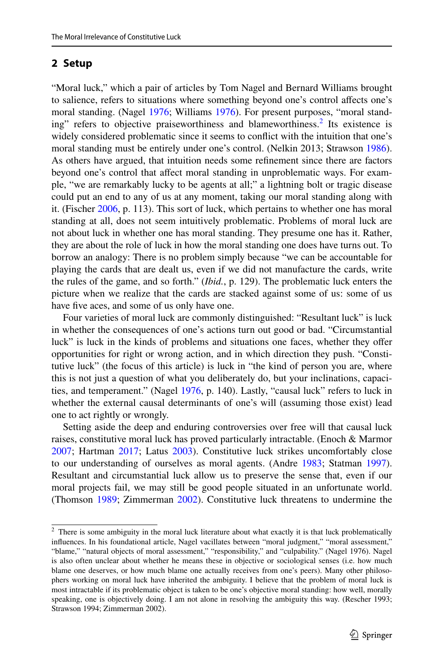## **2 Setup**

"Moral luck," which a pair of articles by Tom Nagel and Bernard Williams brought to salience, refers to situations where something beyond one's control afects one's moral standing. (Nagel [1976](#page-15-1); Williams [1976](#page-15-2)). For present purposes, "moral standing" refers to objective praiseworthiness and blameworthiness.<sup>2</sup> Its existence is widely considered problematic since it seems to confict with the intuition that one's moral standing must be entirely under one's control. (Nelkin 2013; Strawson [1986\)](#page-15-3). As others have argued, that intuition needs some refnement since there are factors beyond one's control that afect moral standing in unproblematic ways. For example, "we are remarkably lucky to be agents at all;" a lightning bolt or tragic disease could put an end to any of us at any moment, taking our moral standing along with it. (Fischer [2006,](#page-14-1) p. 113). This sort of luck, which pertains to whether one has moral standing at all, does not seem intuitively problematic. Problems of moral luck are not about luck in whether one has moral standing. They presume one has it. Rather, they are about the role of luck in how the moral standing one does have turns out. To borrow an analogy: There is no problem simply because "we can be accountable for playing the cards that are dealt us, even if we did not manufacture the cards, write the rules of the game, and so forth." (*Ibid.*, p. 129). The problematic luck enters the picture when we realize that the cards are stacked against some of us: some of us have five aces, and some of us only have one.

Four varieties of moral luck are commonly distinguished: "Resultant luck" is luck in whether the consequences of one's actions turn out good or bad. "Circumstantial luck" is luck in the kinds of problems and situations one faces, whether they offer opportunities for right or wrong action, and in which direction they push. "Constitutive luck" (the focus of this article) is luck in "the kind of person you are, where this is not just a question of what you deliberately do, but your inclinations, capacities, and temperament." (Nagel [1976](#page-15-1), p. 140). Lastly, "causal luck" refers to luck in whether the external causal determinants of one's will (assuming those exist) lead one to act rightly or wrongly.

Setting aside the deep and enduring controversies over free will that causal luck raises, constitutive moral luck has proved particularly intractable. (Enoch & Marmor [2007](#page-14-2); Hartman [2017](#page-14-3); Latus [2003\)](#page-14-4). Constitutive luck strikes uncomfortably close to our understanding of ourselves as moral agents. (Andre [1983;](#page-14-5) Statman [1997\)](#page-15-4). Resultant and circumstantial luck allow us to preserve the sense that, even if our moral projects fail, we may still be good people situated in an unfortunate world. (Thomson [1989;](#page-15-5) Zimmerman [2002\)](#page-15-6). Constitutive luck threatens to undermine the

<span id="page-2-0"></span><sup>&</sup>lt;sup>2</sup> There is some ambiguity in the moral luck literature about what exactly it is that luck problematically infuences. In his foundational article, Nagel vacillates between "moral judgment," "moral assessment," "blame," "natural objects of moral assessment," "responsibility," and "culpability." (Nagel [1976](#page-15-1)). Nagel is also often unclear about whether he means these in objective or sociological senses (i.e. how much blame one deserves, or how much blame one actually receives from one's peers). Many other philosophers working on moral luck have inherited the ambiguity. I believe that the problem of moral luck is most intractable if its problematic object is taken to be one's objective moral standing: how well, morally speaking, one is objectively doing. I am not alone in resolving the ambiguity this way. (Rescher [1993](#page-15-7); Strawson [1994](#page-15-0); Zimmerman [2002](#page-15-6)).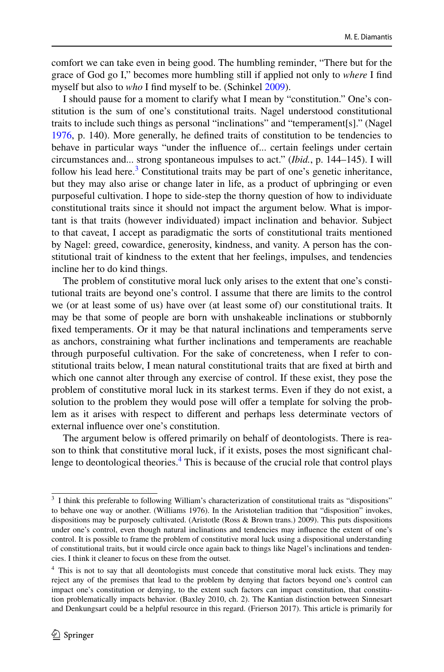comfort we can take even in being good. The humbling reminder, "There but for the grace of God go I," becomes more humbling still if applied not only to *where* I fnd myself but also to *who* I fnd myself to be. (Schinkel [2009](#page-15-8)).

I should pause for a moment to clarify what I mean by "constitution." One's constitution is the sum of one's constitutional traits. Nagel understood constitutional traits to include such things as personal "inclinations" and "temperament[s]." (Nagel [1976](#page-15-1), p. 140). More generally, he defned traits of constitution to be tendencies to behave in particular ways "under the infuence of... certain feelings under certain circumstances and... strong spontaneous impulses to act." (*Ibid.*, p. 144–145). I will follow his lead here.<sup>[3](#page-3-0)</sup> Constitutional traits may be part of one's genetic inheritance, but they may also arise or change later in life, as a product of upbringing or even purposeful cultivation. I hope to side-step the thorny question of how to individuate constitutional traits since it should not impact the argument below. What is important is that traits (however individuated) impact inclination and behavior. Subject to that caveat, I accept as paradigmatic the sorts of constitutional traits mentioned by Nagel: greed, cowardice, generosity, kindness, and vanity. A person has the constitutional trait of kindness to the extent that her feelings, impulses, and tendencies incline her to do kind things.

The problem of constitutive moral luck only arises to the extent that one's constitutional traits are beyond one's control. I assume that there are limits to the control we (or at least some of us) have over (at least some of) our constitutional traits. It may be that some of people are born with unshakeable inclinations or stubbornly fxed temperaments. Or it may be that natural inclinations and temperaments serve as anchors, constraining what further inclinations and temperaments are reachable through purposeful cultivation. For the sake of concreteness, when I refer to constitutional traits below, I mean natural constitutional traits that are fxed at birth and which one cannot alter through any exercise of control. If these exist, they pose the problem of constitutive moral luck in its starkest terms. Even if they do not exist, a solution to the problem they would pose will offer a template for solving the problem as it arises with respect to diferent and perhaps less determinate vectors of external infuence over one's constitution.

The argument below is ofered primarily on behalf of deontologists. There is reason to think that constitutive moral luck, if it exists, poses the most signifcant chal-lenge to deontological theories.<sup>[4](#page-3-1)</sup> This is because of the crucial role that control plays

<span id="page-3-0"></span><sup>&</sup>lt;sup>3</sup> I think this preferable to following William's characterization of constitutional traits as "dispositions" to behave one way or another. (Williams [1976\)](#page-15-2). In the Aristotelian tradition that "disposition" invokes, dispositions may be purposely cultivated. (Aristotle (Ross & Brown trans.) 2009). This puts dispositions under one's control, even though natural inclinations and tendencies may infuence the extent of one's control. It is possible to frame the problem of constitutive moral luck using a dispositional understanding of constitutional traits, but it would circle once again back to things like Nagel's inclinations and tendencies. I think it cleaner to focus on these from the outset.

<span id="page-3-1"></span><sup>4</sup> This is not to say that all deontologists must concede that constitutive moral luck exists. They may reject any of the premises that lead to the problem by denying that factors beyond one's control can impact one's constitution or denying, to the extent such factors can impact constitution, that constitution problematically impacts behavior. (Baxley [2010,](#page-14-6) ch. 2). The Kantian distinction between Sinnesart and Denkungsart could be a helpful resource in this regard. (Frierson [2017](#page-14-7)). This article is primarily for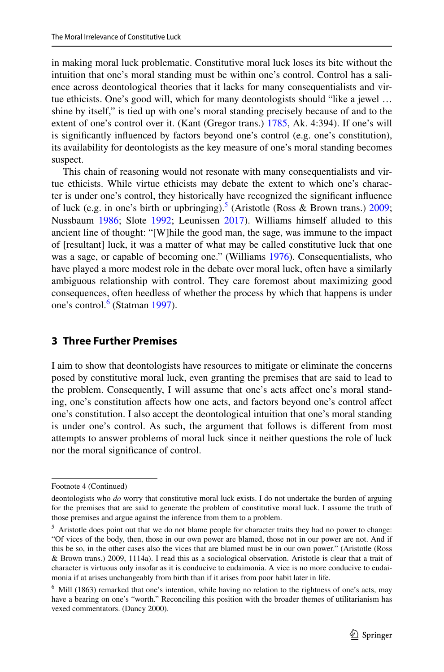in making moral luck problematic. Constitutive moral luck loses its bite without the intuition that one's moral standing must be within one's control. Control has a salience across deontological theories that it lacks for many consequentialists and virtue ethicists. One's good will, which for many deontologists should "like a jewel … shine by itself," is tied up with one's moral standing precisely because of and to the extent of one's control over it. (Kant (Gregor trans.) [1785,](#page-14-8) Ak. 4:394). If one's will is signifcantly infuenced by factors beyond one's control (e.g. one's constitution), its availability for deontologists as the key measure of one's moral standing becomes suspect.

This chain of reasoning would not resonate with many consequentialists and virtue ethicists. While virtue ethicists may debate the extent to which one's character is under one's control, they historically have recognized the signifcant infuence of luck (e.g. in one's birth or upbringing).<sup>5</sup> (Aristotle (Ross & Brown trans.) [2009;](#page-14-9) Nussbaum [1986;](#page-15-9) Slote [1992;](#page-15-10) Leunissen [2017\)](#page-14-10). Williams himself alluded to this ancient line of thought: "[W]hile the good man, the sage, was immune to the impact of [resultant] luck, it was a matter of what may be called constitutive luck that one was a sage, or capable of becoming one." (Williams [1976](#page-15-2)). Consequentialists, who have played a more modest role in the debate over moral luck, often have a similarly ambiguous relationship with control. They care foremost about maximizing good consequences, often heedless of whether the process by which that happens is under one's control.<sup>6</sup> (Statman [1997\)](#page-15-4).

## **3 Three Further Premises**

I aim to show that deontologists have resources to mitigate or eliminate the concerns posed by constitutive moral luck, even granting the premises that are said to lead to the problem. Consequently, I will assume that one's acts afect one's moral standing, one's constitution afects how one acts, and factors beyond one's control afect one's constitution. I also accept the deontological intuition that one's moral standing is under one's control. As such, the argument that follows is diferent from most attempts to answer problems of moral luck since it neither questions the role of luck nor the moral signifcance of control.

Footnote 4 (Continued)

deontologists who *do* worry that constitutive moral luck exists. I do not undertake the burden of arguing for the premises that are said to generate the problem of constitutive moral luck. I assume the truth of those premises and argue against the inference from them to a problem.

<span id="page-4-0"></span><sup>&</sup>lt;sup>5</sup> Aristotle does point out that we do not blame people for character traits they had no power to change: "Of vices of the body, then, those in our own power are blamed, those not in our power are not. And if this be so, in the other cases also the vices that are blamed must be in our own power." (Aristotle (Ross & Brown trans.) [2009,](#page-14-9) 1114a). I read this as a sociological observation. Aristotle is clear that a trait of character is virtuous only insofar as it is conducive to eudaimonia. A vice is no more conducive to eudaimonia if at arises unchangeably from birth than if it arises from poor habit later in life.

<span id="page-4-1"></span><sup>6</sup> Mill ([1863\)](#page-15-11) remarked that one's intention, while having no relation to the rightness of one's acts, may have a bearing on one's "worth." Reconciling this position with the broader themes of utilitarianism has vexed commentators. (Dancy [2000\)](#page-14-11).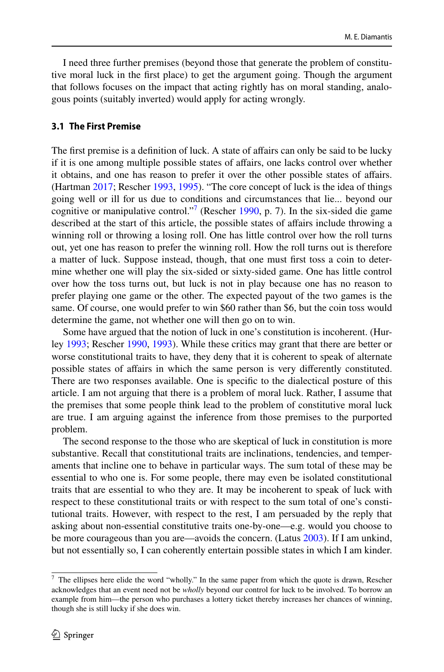I need three further premises (beyond those that generate the problem of constitutive moral luck in the frst place) to get the argument going. Though the argument that follows focuses on the impact that acting rightly has on moral standing, analogous points (suitably inverted) would apply for acting wrongly.

#### **3.1 The First Premise**

The first premise is a definition of luck. A state of affairs can only be said to be lucky if it is one among multiple possible states of afairs, one lacks control over whether it obtains, and one has reason to prefer it over the other possible states of afairs. (Hartman [2017;](#page-14-3) Rescher [1993](#page-15-7), [1995](#page-15-12)). "The core concept of luck is the idea of things going well or ill for us due to conditions and circumstances that lie... beyond our cognitive or manipulative control."<sup>[7](#page-5-0)</sup> (Rescher [1990,](#page-15-13) p. 7). In the six-sided die game described at the start of this article, the possible states of afairs include throwing a winning roll or throwing a losing roll. One has little control over how the roll turns out, yet one has reason to prefer the winning roll. How the roll turns out is therefore a matter of luck. Suppose instead, though, that one must frst toss a coin to determine whether one will play the six-sided or sixty-sided game. One has little control over how the toss turns out, but luck is not in play because one has no reason to prefer playing one game or the other. The expected payout of the two games is the same. Of course, one would prefer to win \$60 rather than \$6, but the coin toss would determine the game, not whether one will then go on to win.

Some have argued that the notion of luck in one's constitution is incoherent. (Hurley [1993;](#page-14-12) Rescher [1990,](#page-15-13) [1993\)](#page-15-7). While these critics may grant that there are better or worse constitutional traits to have, they deny that it is coherent to speak of alternate possible states of afairs in which the same person is very diferently constituted. There are two responses available. One is specifc to the dialectical posture of this article. I am not arguing that there is a problem of moral luck. Rather, I assume that the premises that some people think lead to the problem of constitutive moral luck are true. I am arguing against the inference from those premises to the purported problem.

The second response to the those who are skeptical of luck in constitution is more substantive. Recall that constitutional traits are inclinations, tendencies, and temperaments that incline one to behave in particular ways. The sum total of these may be essential to who one is. For some people, there may even be isolated constitutional traits that are essential to who they are. It may be incoherent to speak of luck with respect to these constitutional traits or with respect to the sum total of one's constitutional traits. However, with respect to the rest, I am persuaded by the reply that asking about non-essential constitutive traits one-by-one—e.g. would you choose to be more courageous than you are—avoids the concern. (Latus [2003](#page-14-4)). If I am unkind, but not essentially so, I can coherently entertain possible states in which I am kinder.

<span id="page-5-0"></span><sup>7</sup> The ellipses here elide the word "wholly." In the same paper from which the quote is drawn, Rescher acknowledges that an event need not be *wholly* beyond our control for luck to be involved. To borrow an example from him—the person who purchases a lottery ticket thereby increases her chances of winning, though she is still lucky if she does win.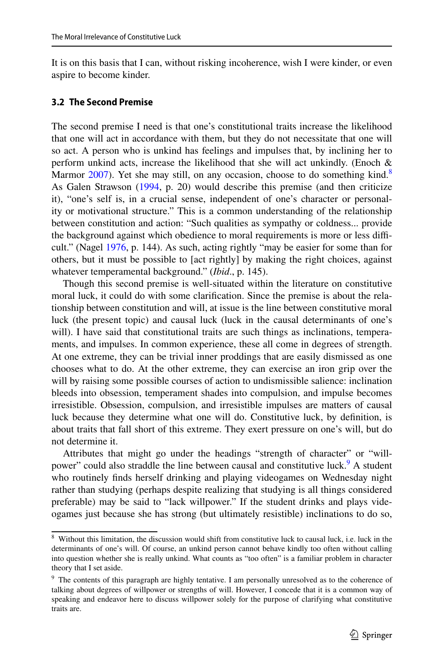It is on this basis that I can, without risking incoherence, wish I were kinder, or even aspire to become kinder.

#### **3.2 The Second Premise**

The second premise I need is that one's constitutional traits increase the likelihood that one will act in accordance with them, but they do not necessitate that one will so act. A person who is unkind has feelings and impulses that, by inclining her to perform unkind acts, increase the likelihood that she will act unkindly. (Enoch & Marmor  $2007$ ). Yet she may still, on any occasion, choose to do something kind.<sup>[8](#page-6-0)</sup> As Galen Strawson ([1994,](#page-15-0) p. 20) would describe this premise (and then criticize it), "one's self is, in a crucial sense, independent of one's character or personality or motivational structure." This is a common understanding of the relationship between constitution and action: "Such qualities as sympathy or coldness... provide the background against which obedience to moral requirements is more or less difficult." (Nagel [1976,](#page-15-1) p. 144). As such, acting rightly "may be easier for some than for others, but it must be possible to [act rightly] by making the right choices, against whatever temperamental background." (*Ibid*., p. 145).

Though this second premise is well-situated within the literature on constitutive moral luck, it could do with some clarifcation. Since the premise is about the relationship between constitution and will, at issue is the line between constitutive moral luck (the present topic) and causal luck (luck in the causal determinants of one's will). I have said that constitutional traits are such things as inclinations, temperaments, and impulses. In common experience, these all come in degrees of strength. At one extreme, they can be trivial inner proddings that are easily dismissed as one chooses what to do. At the other extreme, they can exercise an iron grip over the will by raising some possible courses of action to undismissible salience: inclination bleeds into obsession, temperament shades into compulsion, and impulse becomes irresistible. Obsession, compulsion, and irresistible impulses are matters of causal luck because they determine what one will do. Constitutive luck, by defnition, is about traits that fall short of this extreme. They exert pressure on one's will, but do not determine it.

Attributes that might go under the headings "strength of character" or "will-power" could also straddle the line between causal and constitutive luck.<sup>[9](#page-6-1)</sup> A student who routinely fnds herself drinking and playing videogames on Wednesday night rather than studying (perhaps despite realizing that studying is all things considered preferable) may be said to "lack willpower." If the student drinks and plays videogames just because she has strong (but ultimately resistible) inclinations to do so,

<span id="page-6-0"></span><sup>&</sup>lt;sup>8</sup> Without this limitation, the discussion would shift from constitutive luck to causal luck, i.e. luck in the determinants of one's will. Of course, an unkind person cannot behave kindly too often without calling into question whether she is really unkind. What counts as "too often" is a familiar problem in character theory that I set aside.

<span id="page-6-1"></span><sup>&</sup>lt;sup>9</sup> The contents of this paragraph are highly tentative. I am personally unresolved as to the coherence of talking about degrees of willpower or strengths of will. However, I concede that it is a common way of speaking and endeavor here to discuss willpower solely for the purpose of clarifying what constitutive traits are.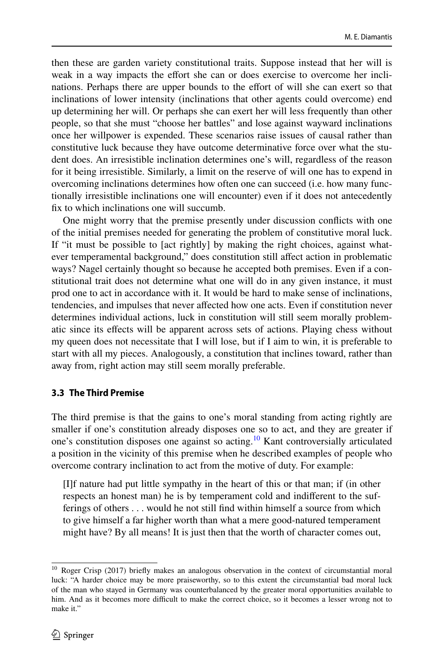then these are garden variety constitutional traits. Suppose instead that her will is weak in a way impacts the effort she can or does exercise to overcome her inclinations. Perhaps there are upper bounds to the efort of will she can exert so that inclinations of lower intensity (inclinations that other agents could overcome) end up determining her will. Or perhaps she can exert her will less frequently than other people, so that she must "choose her battles" and lose against wayward inclinations once her willpower is expended. These scenarios raise issues of causal rather than constitutive luck because they have outcome determinative force over what the student does. An irresistible inclination determines one's will, regardless of the reason for it being irresistible. Similarly, a limit on the reserve of will one has to expend in overcoming inclinations determines how often one can succeed (i.e. how many functionally irresistible inclinations one will encounter) even if it does not antecedently fx to which inclinations one will succumb.

One might worry that the premise presently under discussion conficts with one of the initial premises needed for generating the problem of constitutive moral luck. If "it must be possible to [act rightly] by making the right choices, against whatever temperamental background," does constitution still afect action in problematic ways? Nagel certainly thought so because he accepted both premises. Even if a constitutional trait does not determine what one will do in any given instance, it must prod one to act in accordance with it. It would be hard to make sense of inclinations, tendencies, and impulses that never afected how one acts. Even if constitution never determines individual actions, luck in constitution will still seem morally problematic since its efects will be apparent across sets of actions. Playing chess without my queen does not necessitate that I will lose, but if I aim to win, it is preferable to start with all my pieces. Analogously, a constitution that inclines toward, rather than away from, right action may still seem morally preferable.

# **3.3 The Third Premise**

The third premise is that the gains to one's moral standing from acting rightly are smaller if one's constitution already disposes one so to act, and they are greater if one's constitution disposes one against so acting.[10](#page-7-0) Kant controversially articulated a position in the vicinity of this premise when he described examples of people who overcome contrary inclination to act from the motive of duty. For example:

[I]f nature had put little sympathy in the heart of this or that man; if (in other respects an honest man) he is by temperament cold and indiferent to the sufferings of others . . . would he not still fnd within himself a source from which to give himself a far higher worth than what a mere good-natured temperament might have? By all means! It is just then that the worth of character comes out,

<span id="page-7-0"></span><sup>&</sup>lt;sup>10</sup> Roger Crisp [\(2017](#page-14-13)) briefly makes an analogous observation in the context of circumstantial moral luck: "A harder choice may be more praiseworthy, so to this extent the circumstantial bad moral luck of the man who stayed in Germany was counterbalanced by the greater moral opportunities available to him. And as it becomes more difficult to make the correct choice, so it becomes a lesser wrong not to make it."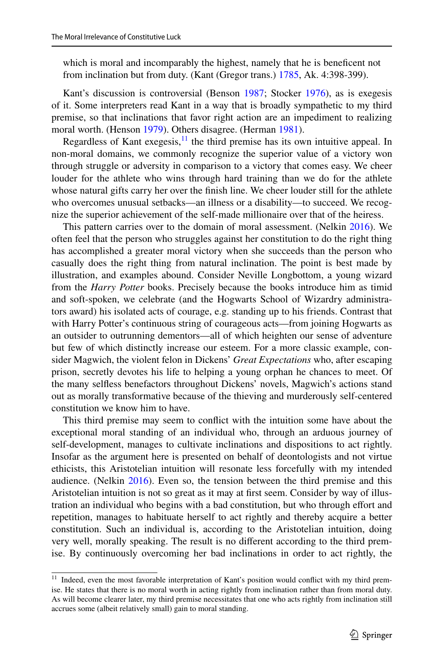which is moral and incomparably the highest, namely that he is benefcent not from inclination but from duty. (Kant (Gregor trans.) [1785,](#page-14-8) Ak. 4:398-399).

Kant's discussion is controversial (Benson [1987](#page-14-14); Stocker [1976](#page-15-14)), as is exegesis of it. Some interpreters read Kant in a way that is broadly sympathetic to my third premise, so that inclinations that favor right action are an impediment to realizing moral worth. (Henson [1979\)](#page-14-15). Others disagree. (Herman [1981\)](#page-14-16).

Regardless of Kant exegesis, $\frac{11}{11}$  the third premise has its own intuitive appeal. In non-moral domains, we commonly recognize the superior value of a victory won through struggle or adversity in comparison to a victory that comes easy. We cheer louder for the athlete who wins through hard training than we do for the athlete whose natural gifts carry her over the fnish line. We cheer louder still for the athlete who overcomes unusual setbacks—an illness or a disability—to succeed. We recognize the superior achievement of the self-made millionaire over that of the heiress.

This pattern carries over to the domain of moral assessment. (Nelkin [2016](#page-15-15)). We often feel that the person who struggles against her constitution to do the right thing has accomplished a greater moral victory when she succeeds than the person who casually does the right thing from natural inclination. The point is best made by illustration, and examples abound. Consider Neville Longbottom, a young wizard from the *Harry Potter* books. Precisely because the books introduce him as timid and soft-spoken, we celebrate (and the Hogwarts School of Wizardry administrators award) his isolated acts of courage, e.g. standing up to his friends. Contrast that with Harry Potter's continuous string of courageous acts—from joining Hogwarts as an outsider to outrunning dementors—all of which heighten our sense of adventure but few of which distinctly increase our esteem. For a more classic example, consider Magwich, the violent felon in Dickens' *Great Expectations* who, after escaping prison, secretly devotes his life to helping a young orphan he chances to meet. Of the many selfess benefactors throughout Dickens' novels, Magwich's actions stand out as morally transformative because of the thieving and murderously self-centered constitution we know him to have.

This third premise may seem to confict with the intuition some have about the exceptional moral standing of an individual who, through an arduous journey of self-development, manages to cultivate inclinations and dispositions to act rightly. Insofar as the argument here is presented on behalf of deontologists and not virtue ethicists, this Aristotelian intuition will resonate less forcefully with my intended audience. (Nelkin [2016](#page-15-15)). Even so, the tension between the third premise and this Aristotelian intuition is not so great as it may at frst seem. Consider by way of illustration an individual who begins with a bad constitution, but who through efort and repetition, manages to habituate herself to act rightly and thereby acquire a better constitution. Such an individual is, according to the Aristotelian intuition, doing very well, morally speaking. The result is no diferent according to the third premise. By continuously overcoming her bad inclinations in order to act rightly, the

<span id="page-8-0"></span><sup>&</sup>lt;sup>11</sup> Indeed, even the most favorable interpretation of Kant's position would conflict with my third premise. He states that there is no moral worth in acting rightly from inclination rather than from moral duty. As will become clearer later, my third premise necessitates that one who acts rightly from inclination still accrues some (albeit relatively small) gain to moral standing.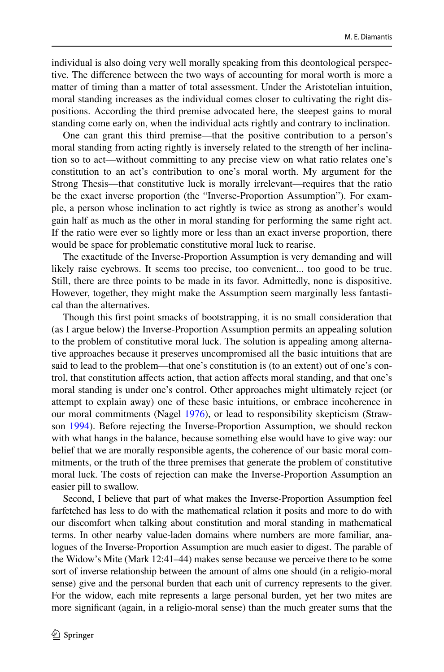individual is also doing very well morally speaking from this deontological perspective. The diference between the two ways of accounting for moral worth is more a matter of timing than a matter of total assessment. Under the Aristotelian intuition, moral standing increases as the individual comes closer to cultivating the right dispositions. According the third premise advocated here, the steepest gains to moral standing come early on, when the individual acts rightly and contrary to inclination.

One can grant this third premise—that the positive contribution to a person's moral standing from acting rightly is inversely related to the strength of her inclination so to act—without committing to any precise view on what ratio relates one's constitution to an act's contribution to one's moral worth. My argument for the Strong Thesis—that constitutive luck is morally irrelevant—requires that the ratio be the exact inverse proportion (the "Inverse-Proportion Assumption"). For example, a person whose inclination to act rightly is twice as strong as another's would gain half as much as the other in moral standing for performing the same right act. If the ratio were ever so lightly more or less than an exact inverse proportion, there would be space for problematic constitutive moral luck to rearise.

The exactitude of the Inverse-Proportion Assumption is very demanding and will likely raise eyebrows. It seems too precise, too convenient... too good to be true. Still, there are three points to be made in its favor. Admittedly, none is dispositive. However, together, they might make the Assumption seem marginally less fantastical than the alternatives.

Though this frst point smacks of bootstrapping, it is no small consideration that (as I argue below) the Inverse-Proportion Assumption permits an appealing solution to the problem of constitutive moral luck. The solution is appealing among alternative approaches because it preserves uncompromised all the basic intuitions that are said to lead to the problem—that one's constitution is (to an extent) out of one's control, that constitution afects action, that action afects moral standing, and that one's moral standing is under one's control. Other approaches might ultimately reject (or attempt to explain away) one of these basic intuitions, or embrace incoherence in our moral commitments (Nagel [1976\)](#page-15-1), or lead to responsibility skepticism (Strawson [1994\)](#page-15-0). Before rejecting the Inverse-Proportion Assumption, we should reckon with what hangs in the balance, because something else would have to give way: our belief that we are morally responsible agents, the coherence of our basic moral commitments, or the truth of the three premises that generate the problem of constitutive moral luck. The costs of rejection can make the Inverse-Proportion Assumption an easier pill to swallow.

Second, I believe that part of what makes the Inverse-Proportion Assumption feel farfetched has less to do with the mathematical relation it posits and more to do with our discomfort when talking about constitution and moral standing in mathematical terms. In other nearby value-laden domains where numbers are more familiar, analogues of the Inverse-Proportion Assumption are much easier to digest. The parable of the Widow's Mite (Mark 12:41–44) makes sense because we perceive there to be some sort of inverse relationship between the amount of alms one should (in a religio-moral sense) give and the personal burden that each unit of currency represents to the giver. For the widow, each mite represents a large personal burden, yet her two mites are more signifcant (again, in a religio-moral sense) than the much greater sums that the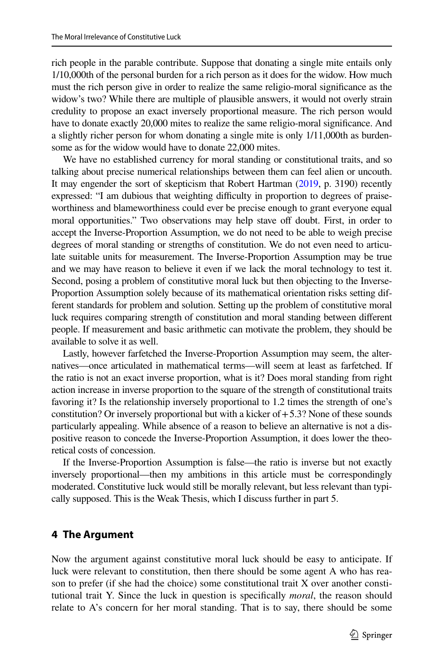rich people in the parable contribute. Suppose that donating a single mite entails only 1/10,000th of the personal burden for a rich person as it does for the widow. How much must the rich person give in order to realize the same religio-moral signifcance as the widow's two? While there are multiple of plausible answers, it would not overly strain credulity to propose an exact inversely proportional measure. The rich person would have to donate exactly 20,000 mites to realize the same religio-moral signifcance. And a slightly richer person for whom donating a single mite is only 1/11,000th as burdensome as for the widow would have to donate 22,000 mites.

We have no established currency for moral standing or constitutional traits, and so talking about precise numerical relationships between them can feel alien or uncouth. It may engender the sort of skepticism that Robert Hartman ([2019](#page-14-17), p. 3190) recently expressed: "I am dubious that weighting difficulty in proportion to degrees of praiseworthiness and blameworthiness could ever be precise enough to grant everyone equal moral opportunities." Two observations may help stave off doubt. First, in order to accept the Inverse-Proportion Assumption, we do not need to be able to weigh precise degrees of moral standing or strengths of constitution. We do not even need to articulate suitable units for measurement. The Inverse-Proportion Assumption may be true and we may have reason to believe it even if we lack the moral technology to test it. Second, posing a problem of constitutive moral luck but then objecting to the Inverse-Proportion Assumption solely because of its mathematical orientation risks setting different standards for problem and solution. Setting up the problem of constitutive moral luck requires comparing strength of constitution and moral standing between diferent people. If measurement and basic arithmetic can motivate the problem, they should be available to solve it as well.

Lastly, however farfetched the Inverse-Proportion Assumption may seem, the alternatives—once articulated in mathematical terms—will seem at least as farfetched. If the ratio is not an exact inverse proportion, what is it? Does moral standing from right action increase in inverse proportion to the square of the strength of constitutional traits favoring it? Is the relationship inversely proportional to 1.2 times the strength of one's constitution? Or inversely proportional but with a kicker of  $+5.3$ ? None of these sounds particularly appealing. While absence of a reason to believe an alternative is not a dispositive reason to concede the Inverse-Proportion Assumption, it does lower the theoretical costs of concession.

If the Inverse-Proportion Assumption is false—the ratio is inverse but not exactly inversely proportional—then my ambitions in this article must be correspondingly moderated. Constitutive luck would still be morally relevant, but less relevant than typically supposed. This is the Weak Thesis, which I discuss further in part 5.

# **4 The Argument**

Now the argument against constitutive moral luck should be easy to anticipate. If luck were relevant to constitution, then there should be some agent A who has reason to prefer (if she had the choice) some constitutional trait X over another constitutional trait Y. Since the luck in question is specifcally *moral*, the reason should relate to A's concern for her moral standing. That is to say, there should be some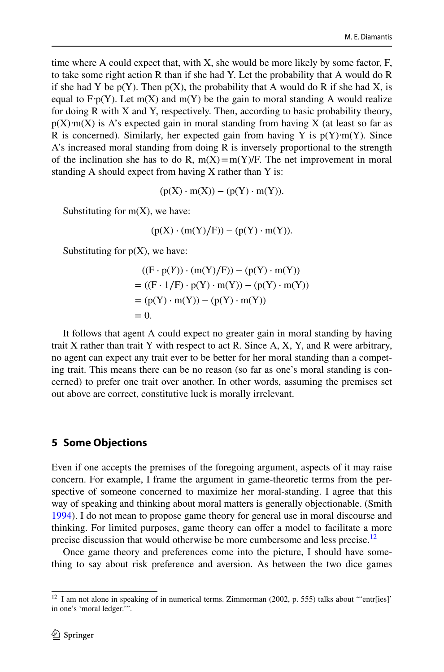time where A could expect that, with  $X$ , she would be more likely by some factor,  $F$ , to take some right action R than if she had Y. Let the probability that A would do R if she had Y be  $p(Y)$ . Then  $p(X)$ , the probability that A would do R if she had X, is equal to  $F \cdot p(Y)$ . Let m(X) and m(Y) be the gain to moral standing A would realize for doing R with X and Y, respectively. Then, according to basic probability theory,  $p(X) \cdot m(X)$  is A's expected gain in moral standing from having X (at least so far as R is concerned). Similarly, her expected gain from having Y is  $p(Y) \cdot m(Y)$ . Since A's increased moral standing from doing R is inversely proportional to the strength of the inclination she has to do R,  $m(X)=m(Y)/F$ . The net improvement in moral standing A should expect from having X rather than Y is:

$$
(p(X)\cdot m(X))-(p(Y)\cdot m(Y)).
$$

Substituting for  $m(X)$ , we have:

$$
(p(X) \cdot (m(Y)/F)) - (p(Y) \cdot m(Y)).
$$

Substituting for  $p(X)$ , we have:

$$
((F \cdot p(Y)) \cdot (m(Y)/F)) - (p(Y) \cdot m(Y))
$$
  
= ((F \cdot 1/F) \cdot p(Y) \cdot m(Y)) - (p(Y) \cdot m(Y))  
= (p(Y) \cdot m(Y)) - (p(Y) \cdot m(Y))  
= 0.

It follows that agent A could expect no greater gain in moral standing by having trait X rather than trait Y with respect to act R. Since  $A$ , X, Y, and R were arbitrary, no agent can expect any trait ever to be better for her moral standing than a competing trait. This means there can be no reason (so far as one's moral standing is concerned) to prefer one trait over another. In other words, assuming the premises set out above are correct, constitutive luck is morally irrelevant.

#### **5 Some Objections**

Even if one accepts the premises of the foregoing argument, aspects of it may raise concern. For example, I frame the argument in game-theoretic terms from the perspective of someone concerned to maximize her moral-standing. I agree that this way of speaking and thinking about moral matters is generally objectionable. (Smith [1994](#page-15-16)). I do not mean to propose game theory for general use in moral discourse and thinking. For limited purposes, game theory can offer a model to facilitate a more precise discussion that would otherwise be more cumbersome and less precise.<sup>12</sup>

Once game theory and preferences come into the picture, I should have something to say about risk preference and aversion. As between the two dice games

<span id="page-11-0"></span><sup>&</sup>lt;sup>12</sup> I am not alone in speaking of in numerical terms. Zimmerman [\(2002](#page-15-6), p. 555) talks about "'entr[ies]' in one's 'moral ledger.'".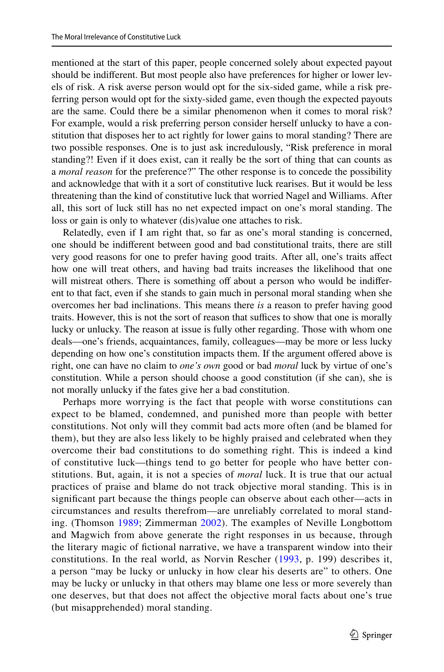mentioned at the start of this paper, people concerned solely about expected payout should be indiferent. But most people also have preferences for higher or lower levels of risk. A risk averse person would opt for the six-sided game, while a risk preferring person would opt for the sixty-sided game, even though the expected payouts are the same. Could there be a similar phenomenon when it comes to moral risk? For example, would a risk preferring person consider herself unlucky to have a constitution that disposes her to act rightly for lower gains to moral standing? There are two possible responses. One is to just ask incredulously, "Risk preference in moral standing?! Even if it does exist, can it really be the sort of thing that can counts as a *moral reason* for the preference?" The other response is to concede the possibility and acknowledge that with it a sort of constitutive luck rearises. But it would be less threatening than the kind of constitutive luck that worried Nagel and Williams. After all, this sort of luck still has no net expected impact on one's moral standing. The loss or gain is only to whatever (dis)value one attaches to risk.

Relatedly, even if I am right that, so far as one's moral standing is concerned, one should be indiferent between good and bad constitutional traits, there are still very good reasons for one to prefer having good traits. After all, one's traits afect how one will treat others, and having bad traits increases the likelihood that one will mistreat others. There is something off about a person who would be indifferent to that fact, even if she stands to gain much in personal moral standing when she overcomes her bad inclinations. This means there *is* a reason to prefer having good traits. However, this is not the sort of reason that suffices to show that one is morally lucky or unlucky. The reason at issue is fully other regarding. Those with whom one deals—one's friends, acquaintances, family, colleagues—may be more or less lucky depending on how one's constitution impacts them. If the argument offered above is right, one can have no claim to *one's own* good or bad *moral* luck by virtue of one's constitution. While a person should choose a good constitution (if she can), she is not morally unlucky if the fates give her a bad constitution.

Perhaps more worrying is the fact that people with worse constitutions can expect to be blamed, condemned, and punished more than people with better constitutions. Not only will they commit bad acts more often (and be blamed for them), but they are also less likely to be highly praised and celebrated when they overcome their bad constitutions to do something right. This is indeed a kind of constitutive luck—things tend to go better for people who have better constitutions. But, again, it is not a species of *moral* luck. It is true that our actual practices of praise and blame do not track objective moral standing. This is in signifcant part because the things people can observe about each other—acts in circumstances and results therefrom—are unreliably correlated to moral standing. (Thomson [1989](#page-15-5); Zimmerman [2002](#page-15-6)). The examples of Neville Longbottom and Magwich from above generate the right responses in us because, through the literary magic of fctional narrative, we have a transparent window into their constitutions. In the real world, as Norvin Rescher ([1993](#page-15-7), p. 199) describes it, a person "may be lucky or unlucky in how clear his deserts are" to others. One may be lucky or unlucky in that others may blame one less or more severely than one deserves, but that does not afect the objective moral facts about one's true (but misapprehended) moral standing.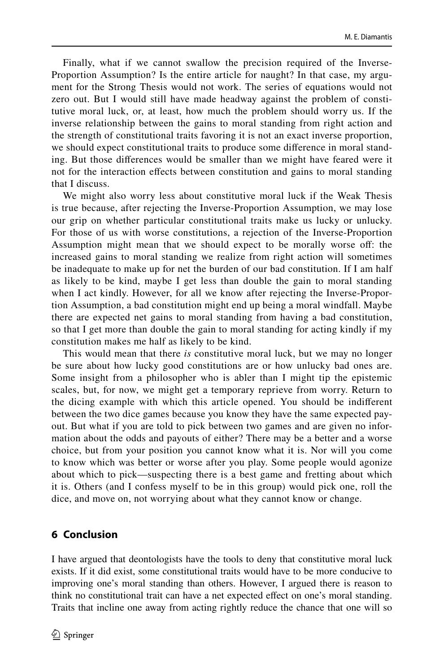Finally, what if we cannot swallow the precision required of the Inverse-Proportion Assumption? Is the entire article for naught? In that case, my argument for the Strong Thesis would not work. The series of equations would not zero out. But I would still have made headway against the problem of constitutive moral luck, or, at least, how much the problem should worry us. If the inverse relationship between the gains to moral standing from right action and the strength of constitutional traits favoring it is not an exact inverse proportion, we should expect constitutional traits to produce some diference in moral standing. But those diferences would be smaller than we might have feared were it not for the interaction efects between constitution and gains to moral standing that I discuss.

We might also worry less about constitutive moral luck if the Weak Thesis is true because, after rejecting the Inverse-Proportion Assumption, we may lose our grip on whether particular constitutional traits make us lucky or unlucky. For those of us with worse constitutions, a rejection of the Inverse-Proportion Assumption might mean that we should expect to be morally worse off: the increased gains to moral standing we realize from right action will sometimes be inadequate to make up for net the burden of our bad constitution. If I am half as likely to be kind, maybe I get less than double the gain to moral standing when I act kindly. However, for all we know after rejecting the Inverse-Proportion Assumption, a bad constitution might end up being a moral windfall. Maybe there are expected net gains to moral standing from having a bad constitution, so that I get more than double the gain to moral standing for acting kindly if my constitution makes me half as likely to be kind.

This would mean that there *is* constitutive moral luck, but we may no longer be sure about how lucky good constitutions are or how unlucky bad ones are. Some insight from a philosopher who is abler than I might tip the epistemic scales, but, for now, we might get a temporary reprieve from worry. Return to the dicing example with which this article opened. You should be indiferent between the two dice games because you know they have the same expected payout. But what if you are told to pick between two games and are given no information about the odds and payouts of either? There may be a better and a worse choice, but from your position you cannot know what it is. Nor will you come to know which was better or worse after you play. Some people would agonize about which to pick—suspecting there is a best game and fretting about which it is. Others (and I confess myself to be in this group) would pick one, roll the dice, and move on, not worrying about what they cannot know or change.

### **6 Conclusion**

I have argued that deontologists have the tools to deny that constitutive moral luck exists. If it did exist, some constitutional traits would have to be more conducive to improving one's moral standing than others. However, I argued there is reason to think no constitutional trait can have a net expected efect on one's moral standing. Traits that incline one away from acting rightly reduce the chance that one will so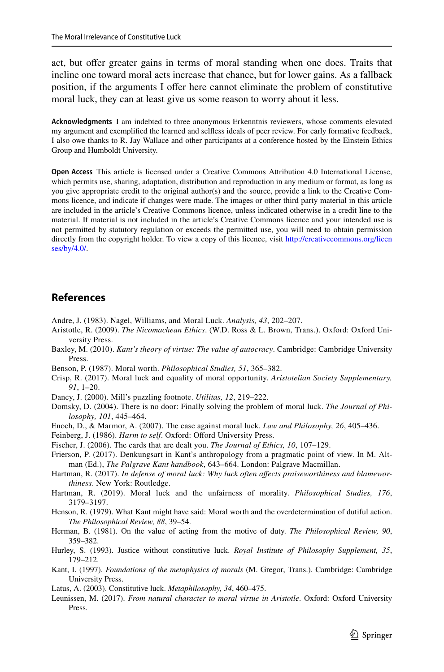act, but ofer greater gains in terms of moral standing when one does. Traits that incline one toward moral acts increase that chance, but for lower gains. As a fallback position, if the arguments I offer here cannot eliminate the problem of constitutive moral luck, they can at least give us some reason to worry about it less.

**Acknowledgments** I am indebted to three anonymous Erkenntnis reviewers, whose comments elevated my argument and exemplifed the learned and selfess ideals of peer review. For early formative feedback, I also owe thanks to R. Jay Wallace and other participants at a conference hosted by the Einstein Ethics Group and Humboldt University.

**Open Access** This article is licensed under a Creative Commons Attribution 4.0 International License, which permits use, sharing, adaptation, distribution and reproduction in any medium or format, as long as you give appropriate credit to the original author(s) and the source, provide a link to the Creative Commons licence, and indicate if changes were made. The images or other third party material in this article are included in the article's Creative Commons licence, unless indicated otherwise in a credit line to the material. If material is not included in the article's Creative Commons licence and your intended use is not permitted by statutory regulation or exceeds the permitted use, you will need to obtain permission directly from the copyright holder. To view a copy of this licence, visit [http://creativecommons.org/licen](http://creativecommons.org/licenses/by/4.0/) [ses/by/4.0/](http://creativecommons.org/licenses/by/4.0/).

### **References**

- <span id="page-14-5"></span>Andre, J. (1983). Nagel, Williams, and Moral Luck. *Analysis, 43*, 202–207.
- <span id="page-14-9"></span>Aristotle, R. (2009). *The Nicomachean Ethics*. (W.D. Ross & L. Brown, Trans.). Oxford: Oxford University Press.
- <span id="page-14-6"></span>Baxley, M. (2010). *Kant's theory of virtue: The value of autocracy*. Cambridge: Cambridge University Press.
- <span id="page-14-14"></span>Benson, P. (1987). Moral worth. *Philosophical Studies, 51*, 365–382.
- <span id="page-14-13"></span>Crisp, R. (2017). Moral luck and equality of moral opportunity. *Aristotelian Society Supplementary, 91*, 1–20.
- <span id="page-14-11"></span>Dancy, J. (2000). Mill's puzzling footnote. *Utilitas, 12*, 219–222.
- Domsky, D. (2004). There is no door: Finally solving the problem of moral luck. *The Journal of Philosophy, 101*, 445–464.
- <span id="page-14-2"></span>Enoch, D., & Marmor, A. (2007). The case against moral luck. *Law and Philosophy, 26*, 405–436.

<span id="page-14-0"></span>Feinberg, J. (1986). *Harm to self*. Oxford: Offord University Press.

- <span id="page-14-1"></span>Fischer, J. (2006). The cards that are dealt you. *The Journal of Ethics, 10*, 107–129.
- <span id="page-14-7"></span>Frierson, P. (2017). Denkungsart in Kant's anthropology from a pragmatic point of view. In M. Altman (Ed.), *The Palgrave Kant handbook*, 643–664. London: Palgrave Macmillan.
- <span id="page-14-3"></span>Hartman, R. (2017). *In defense of moral luck: Why luck often afects praiseworthiness and blameworthiness*. New York: Routledge.
- <span id="page-14-17"></span>Hartman, R. (2019). Moral luck and the unfairness of morality. *Philosophical Studies, 176*, 3179–3197.
- <span id="page-14-15"></span>Henson, R. (1979). What Kant might have said: Moral worth and the overdetermination of dutiful action. *The Philosophical Review, 88*, 39–54.
- <span id="page-14-16"></span>Herman, B. (1981). On the value of acting from the motive of duty. *The Philosophical Review, 90*, 359–382.
- <span id="page-14-12"></span>Hurley, S. (1993). Justice without constitutive luck. *Royal Institute of Philosophy Supplement, 35*, 179–212.
- <span id="page-14-8"></span>Kant, I. (1997). *Foundations of the metaphysics of morals* (M. Gregor, Trans.). Cambridge: Cambridge University Press.
- <span id="page-14-4"></span>Latus, A. (2003). Constitutive luck. *Metaphilosophy, 34*, 460–475.
- <span id="page-14-10"></span>Leunissen, M. (2017). *From natural character to moral virtue in Aristotle*. Oxford: Oxford University Press.